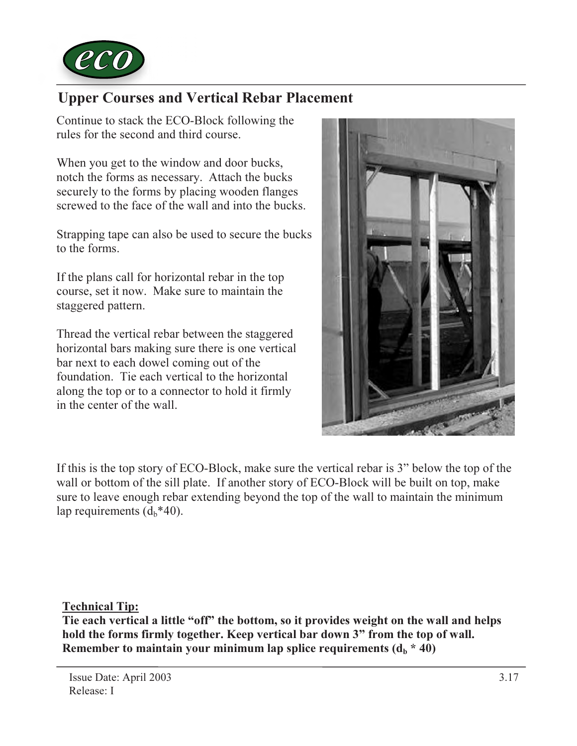

## Upper Courses and Vertical Rebar Placement

Continue to stack the ECO-Block following the rules for the second and third course.

When you get to the window and door bucks, notch the forms as necessary. Attach the bucks securely to the forms by placing wooden flanges screwed to the face of the wall and into the bucks.

Strapping tape can also be used to secure the bucks to the forms.

If the plans call for horizontal rebar in the top course, set it now. Make sure to maintain the staggered pattern.

Thread the vertical rebar between the staggered horizontal bars making sure there is one vertical bar next to each dowel coming out of the foundation. Tie each vertical to the horizontal along the top or to a connector to hold it firmly in the center of the wall.



If this is the top story of ECO-Block, make sure the vertical rebar is 3" below the top of the wall or bottom of the sill plate. If another story of ECO-Block will be built on top, make sure to leave enough rebar extending beyond the top of the wall to maintain the minimum lap requirements  $(d_h * 40)$ .

Technical Tip:

Tie each vertical a little "off" the bottom, so it provides weight on the wall and helps hold the forms firmly together. Keep vertical bar down 3" from the top of wall. Remember to maintain your minimum lap splice requirements  $(d_h * 40)$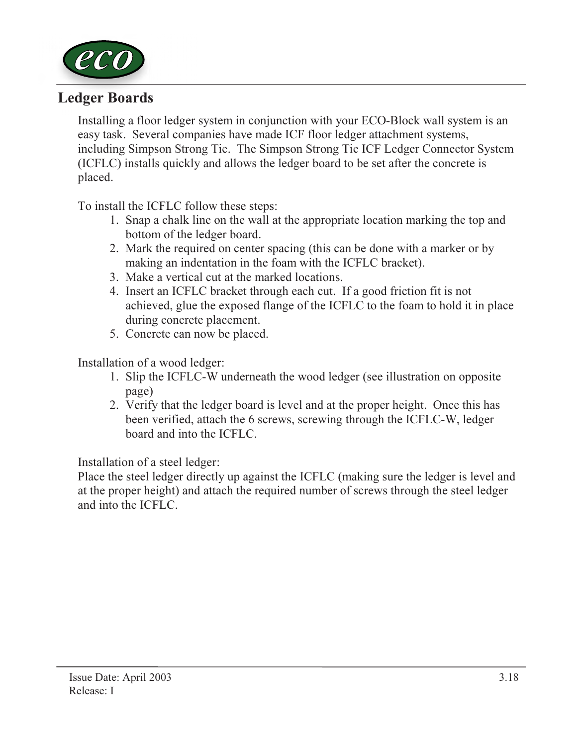

## Ledger Boards

Installing a floor ledger system in conjunction with your ECO-Block wall system is an easy task. Several companies have made ICF floor ledger attachment systems, including Simpson Strong Tie. The Simpson Strong Tie ICF Ledger Connector System (ICFLC) installs quickly and allows the ledger board to be set after the concrete is placed.

To install the ICFLC follow these steps:

- 1. Snap a chalk line on the wall at the appropriate location marking the top and bottom of the ledger board.
- 2. Mark the required on center spacing (this can be done with a marker or by making an indentation in the foam with the ICFLC bracket).
- 3. Make a vertical cut at the marked locations.
- 4. Insert an ICFLC bracket through each cut. If a good friction fit is not achieved, glue the exposed flange of the ICFLC to the foam to hold it in place during concrete placement.
- 5. Concrete can now be placed.

Installation of a wood ledger:

- 1. Slip the ICFLC-W underneath the wood ledger (see illustration on opposite page)
- 2. Verify that the ledger board is level and at the proper height. Once this has been verified, attach the 6 screws, screwing through the ICFLC-W, ledger board and into the ICFLC.

Installation of a steel ledger:

Place the steel ledger directly up against the ICFLC (making sure the ledger is level and at the proper height) and attach the required number of screws through the steel ledger and into the ICFLC.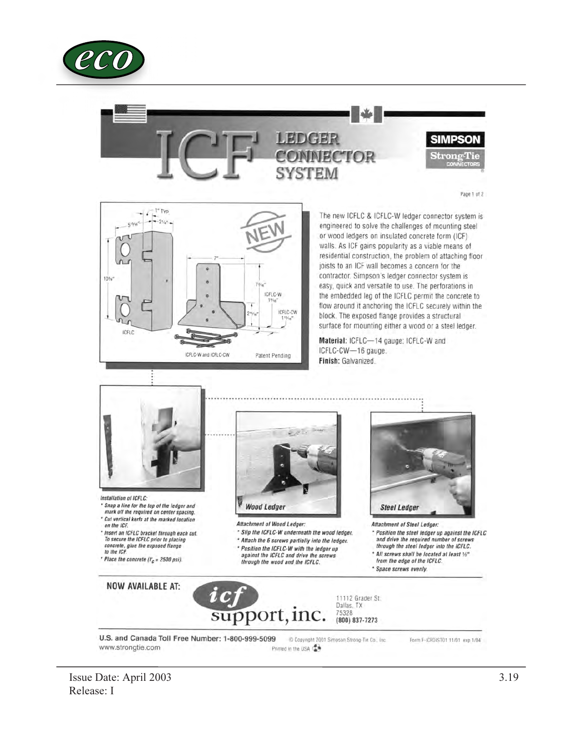





The new ICFLC & ICFLC-W ledger connector system is engineered to solve the challenges of mounting steel or wood ledgers on insulated concrete form (ICF) walls. As ICF gains popularity as a viable means of residential construction, the problem of attaching floor joists to an ICF wall becomes a concern for the contractor. Simpson's ledger connector system is easy, quick and versatile to use. The perforations in the embedded leg of the ICFLC permit the concrete to flow around it anchoring the ICFLC securely within the block. The exposed flange provides a structural surface for mounting either a wood or a steel ledger.

Material: ICFLC-14 gauge: ICFLC-W and ICFLC-CW-16 gauge. Finish: Galvanized.



Installation of ICFLC: \* Snap a line for the top of the ledger and mark off the required on center spacing.

- \* Cut vertical kerts at the marked location<br>on the ICF.
- \* Insert an ICFLC bracket through each cut. To secure the ICFLC prior to placing concrete, glue the exposed flange<br>to the ICF.
- \* Place the concrete ( $l_c'$  = 2500 psi).

**Wood Ledger** 

Attachment of Wood Ledger:

- \* Slip the ICFLC-W underneath the wood ledger. \* Attach the 6 screws partially into the ledger.
- \* Position the ICFLC-W with the ledger up<br>against the ICFLC and drive the screws
- through the wood and the ICFLC.



Attachment of Steel Ledger:

- \* Position the steel ledger up against the ICFLC and drive the required number of screws through the steel ledger into the ICFLC.
- \* All screws shall be located at least 1/2"<br>from the edge of the ICFLC.
- 
- \* Space screws evenly.

**NOW AVAILABLE AT:** 



U.S. and Canada Toll Free Number: 1-800-999-5099 Copyright 2001 Simpson Strong-Tie Co., Inc. Form F-ICFDIST01 11/01 exp 1/04 www.strongtie.com Printed in the USA

Issue Date: April 2003 Release: I